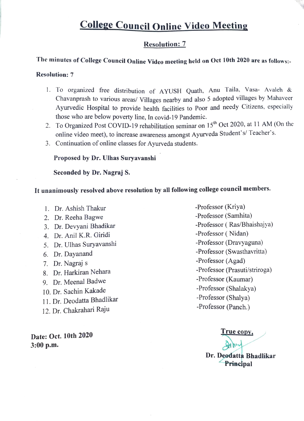# College Council Online Video Meeting

## Resolution: 7

## The minutes of College Council Online Video meeting held on Oct 10th 2020 are as follows:

## Resolution: 7

- 1. To organized free distribution of AYUSH Quath, Anu Taila, Vasa- Avaleh & Chavanprash to various areas/ Villages nearby and also 5 adopted villages by Mahaveer Ayurvedic Hospital to provide health facilities to Poor and needy Citizens, especially those who are below poverty line, In covid-19 Pandemic.
- 2. To Organized Post COVID-19 rehabilitation seminar on 15<sup>th</sup> Oct 2020, at 11 AM (On the online video meet), to increase awareness amongst Ayurveda Student's/ Teacher's.
- 3. Continuation of online classes for Ayurveda students.

## Proposed by Dr. Uhas Suryavanshi

Seconded by Dr. Nagraj S.

# Tt unanimously resolved above resolution by all following college council members.

- 1. Dr. Ashish Thakur
- 2. Dr. Reeha Bagwe
- 3. Dr. Devyani Bhadikar
- 4. Dr. Anil K.R. Giridi
- 5. Dr. Ulhas Suryavanshi
- 6. Dr. Dayanand
- 7. Dr. Nagraj s
- 8. Dr. Harkiran Nehara
- 9. Dr. Meenal Badwe
- 10. Dr. Sachin Kakade
- 11. Dr. Deodatta Bhadlikar
- 12. Dr. Chakrahari Raju

3:00 p.m.

-Professor (Kriya) -Professor (Samhita) -Professor ( Ras/Bhaishajya) -Professor ( Nidan) -Professor (Dravyaguna) -Professor (Swasthavritta) -Professor (Agad) -Professor (Prasuti/striroga) -Professor (Kaumar) -Professor (Shalakya) -Professor (Shalya) -Professor (Panch.)